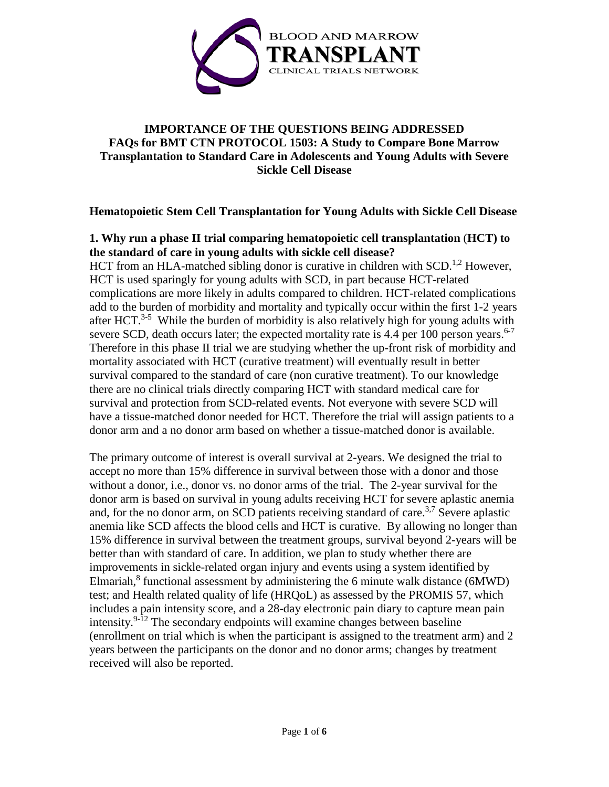

# **IMPORTANCE OF THE QUESTIONS BEING ADDRESSED FAQs for BMT CTN PROTOCOL 1503: A Study to Compare Bone Marrow Transplantation to Standard Care in Adolescents and Young Adults with Severe Sickle Cell Disease**

# **Hematopoietic Stem Cell Transplantation for Young Adults with Sickle Cell Disease**

# **1. Why run a phase II trial comparing hematopoietic cell transplantation** (**HCT) to the standard of care in young adults with sickle cell disease?**

HCT from an HLA-matched sibling donor is curative in children with  $SCD<sup>1,2</sup>$  However, HCT is used sparingly for young adults with SCD, in part because HCT-related complications are more likely in adults compared to children. HCT-related complications add to the burden of morbidity and mortality and typically occur within the first 1-2 years after HCT.<sup>3-5</sup> While the burden of morbidity is also relatively high for young adults with severe SCD, death occurs later; the expected mortality rate is 4.4 per 100 person years.<sup>6-7</sup> Therefore in this phase II trial we are studying whether the up-front risk of morbidity and mortality associated with HCT (curative treatment) will eventually result in better survival compared to the standard of care (non curative treatment). To our knowledge there are no clinical trials directly comparing HCT with standard medical care for survival and protection from SCD-related events. Not everyone with severe SCD will have a tissue-matched donor needed for HCT. Therefore the trial will assign patients to a donor arm and a no donor arm based on whether a tissue-matched donor is available.

The primary outcome of interest is overall survival at 2-years. We designed the trial to accept no more than 15% difference in survival between those with a donor and those without a donor, i.e., donor vs. no donor arms of the trial. The 2-year survival for the donor arm is based on survival in young adults receiving HCT for severe aplastic anemia and, for the no donor arm, on SCD patients receiving standard of care.<sup>3,7</sup> Severe aplastic anemia like SCD affects the blood cells and HCT is curative. By allowing no longer than 15% difference in survival between the treatment groups, survival beyond 2-years will be better than with standard of care. In addition, we plan to study whether there are improvements in sickle-related organ injury and events using a system identified by Elmariah, <sup>8</sup> functional assessment by administering the 6 minute walk distance (6MWD) test; and Health related quality of life (HRQoL) as assessed by the PROMIS 57, which includes a pain intensity score, and a 28-day electronic pain diary to capture mean pain intensity.<sup>9-12</sup> The secondary endpoints will examine changes between baseline (enrollment on trial which is when the participant is assigned to the treatment arm) and 2 years between the participants on the donor and no donor arms; changes by treatment received will also be reported.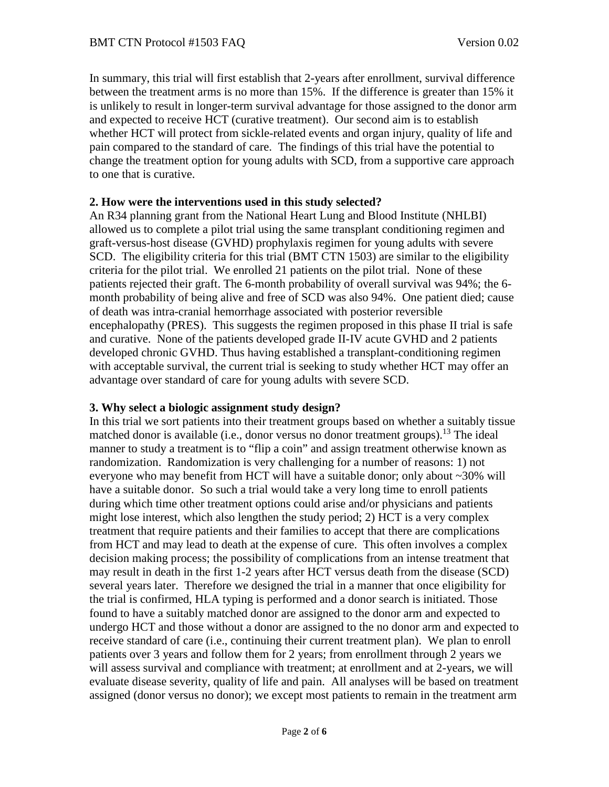In summary, this trial will first establish that 2-years after enrollment, survival difference between the treatment arms is no more than 15%. If the difference is greater than 15% it is unlikely to result in longer-term survival advantage for those assigned to the donor arm and expected to receive HCT (curative treatment). Our second aim is to establish whether HCT will protect from sickle-related events and organ injury, quality of life and pain compared to the standard of care. The findings of this trial have the potential to change the treatment option for young adults with SCD, from a supportive care approach to one that is curative.

#### **2. How were the interventions used in this study selected?**

An R34 planning grant from the National Heart Lung and Blood Institute (NHLBI) allowed us to complete a pilot trial using the same transplant conditioning regimen and graft-versus-host disease (GVHD) prophylaxis regimen for young adults with severe SCD. The eligibility criteria for this trial (BMT CTN 1503) are similar to the eligibility criteria for the pilot trial. We enrolled 21 patients on the pilot trial. None of these patients rejected their graft. The 6-month probability of overall survival was 94%; the 6 month probability of being alive and free of SCD was also 94%. One patient died; cause of death was intra-cranial hemorrhage associated with posterior reversible encephalopathy (PRES). This suggests the regimen proposed in this phase II trial is safe and curative. None of the patients developed grade II-IV acute GVHD and 2 patients developed chronic GVHD. Thus having established a transplant-conditioning regimen with acceptable survival, the current trial is seeking to study whether HCT may offer an advantage over standard of care for young adults with severe SCD.

#### **3. Why select a biologic assignment study design?**

In this trial we sort patients into their treatment groups based on whether a suitably tissue matched donor is available (i.e., donor versus no donor treatment groups).<sup>13</sup> The ideal manner to study a treatment is to "flip a coin" and assign treatment otherwise known as randomization. Randomization is very challenging for a number of reasons: 1) not everyone who may benefit from HCT will have a suitable donor; only about ~30% will have a suitable donor. So such a trial would take a very long time to enroll patients during which time other treatment options could arise and/or physicians and patients might lose interest, which also lengthen the study period; 2) HCT is a very complex treatment that require patients and their families to accept that there are complications from HCT and may lead to death at the expense of cure. This often involves a complex decision making process; the possibility of complications from an intense treatment that may result in death in the first 1-2 years after HCT versus death from the disease (SCD) several years later. Therefore we designed the trial in a manner that once eligibility for the trial is confirmed, HLA typing is performed and a donor search is initiated. Those found to have a suitably matched donor are assigned to the donor arm and expected to undergo HCT and those without a donor are assigned to the no donor arm and expected to receive standard of care (i.e., continuing their current treatment plan). We plan to enroll patients over 3 years and follow them for 2 years; from enrollment through 2 years we will assess survival and compliance with treatment; at enrollment and at 2-years, we will evaluate disease severity, quality of life and pain. All analyses will be based on treatment assigned (donor versus no donor); we except most patients to remain in the treatment arm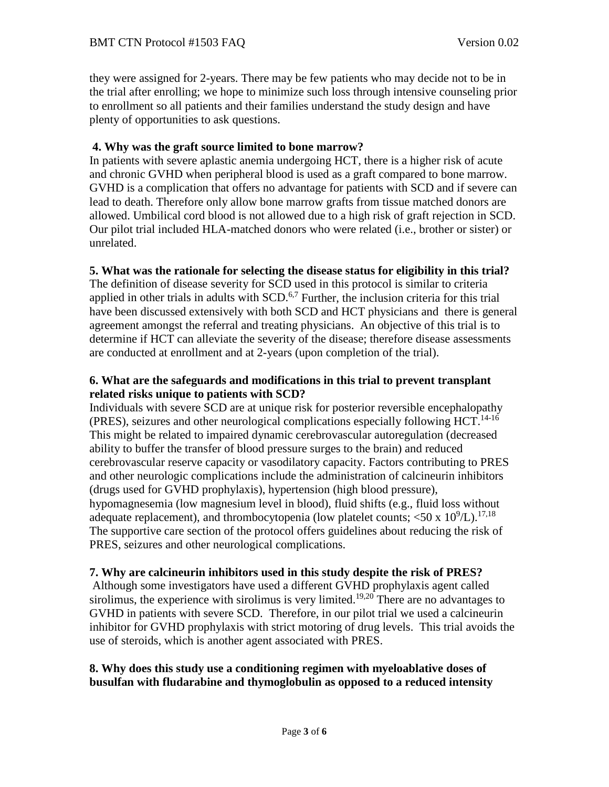they were assigned for 2-years. There may be few patients who may decide not to be in the trial after enrolling; we hope to minimize such loss through intensive counseling prior to enrollment so all patients and their families understand the study design and have plenty of opportunities to ask questions.

## **4. Why was the graft source limited to bone marrow?**

In patients with severe aplastic anemia undergoing HCT, there is a higher risk of acute and chronic GVHD when peripheral blood is used as a graft compared to bone marrow. GVHD is a complication that offers no advantage for patients with SCD and if severe can lead to death. Therefore only allow bone marrow grafts from tissue matched donors are allowed. Umbilical cord blood is not allowed due to a high risk of graft rejection in SCD. Our pilot trial included HLA-matched donors who were related (i.e., brother or sister) or unrelated.

# **5. What was the rationale for selecting the disease status for eligibility in this trial?**

The definition of disease severity for SCD used in this protocol is similar to criteria applied in other trials in adults with  $SCD<sup>6,7</sup>$  Further, the inclusion criteria for this trial have been discussed extensively with both SCD and HCT physicians and there is general agreement amongst the referral and treating physicians. An objective of this trial is to determine if HCT can alleviate the severity of the disease; therefore disease assessments are conducted at enrollment and at 2-years (upon completion of the trial).

## **6. What are the safeguards and modifications in this trial to prevent transplant related risks unique to patients with SCD?**

Individuals with severe SCD are at unique risk for posterior reversible encephalopathy (PRES), seizures and other neurological complications especially following HCT.<sup>14-16</sup> This might be related to impaired dynamic cerebrovascular autoregulation (decreased ability to buffer the transfer of blood pressure surges to the brain) and reduced cerebrovascular reserve capacity or vasodilatory capacity. Factors contributing to PRES and other neurologic complications include the administration of calcineurin inhibitors (drugs used for GVHD prophylaxis), hypertension (high blood pressure), hypomagnesemia (low magnesium level in blood), fluid shifts (e.g., fluid loss without adequate replacement), and thrombocytopenia (low platelet counts;  $\langle 50 \times 10^9 \rangle L$ ).<sup>17,18</sup> The supportive care section of the protocol offers guidelines about reducing the risk of PRES, seizures and other neurological complications.

## **7. Why are calcineurin inhibitors used in this study despite the risk of PRES?**

Although some investigators have used a different GVHD prophylaxis agent called sirolimus, the experience with sirolimus is very limited.<sup>19,20</sup> There are no advantages to GVHD in patients with severe SCD. Therefore, in our pilot trial we used a calcineurin inhibitor for GVHD prophylaxis with strict motoring of drug levels. This trial avoids the use of steroids, which is another agent associated with PRES.

## **8. Why does this study use a conditioning regimen with myeloablative doses of busulfan with fludarabine and thymoglobulin as opposed to a reduced intensity**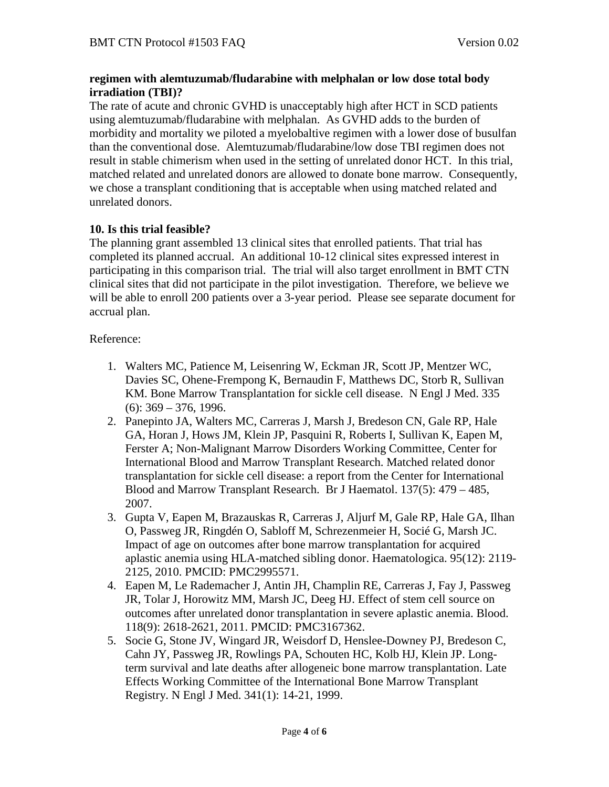## **regimen with alemtuzumab/fludarabine with melphalan or low dose total body irradiation (TBI)?**

The rate of acute and chronic GVHD is unacceptably high after HCT in SCD patients using alemtuzumab/fludarabine with melphalan. As GVHD adds to the burden of morbidity and mortality we piloted a myelobaltive regimen with a lower dose of busulfan than the conventional dose. Alemtuzumab/fludarabine/low dose TBI regimen does not result in stable chimerism when used in the setting of unrelated donor HCT. In this trial, matched related and unrelated donors are allowed to donate bone marrow. Consequently, we chose a transplant conditioning that is acceptable when using matched related and unrelated donors.

# **10. Is this trial feasible?**

The planning grant assembled 13 clinical sites that enrolled patients. That trial has completed its planned accrual. An additional 10-12 clinical sites expressed interest in participating in this comparison trial. The trial will also target enrollment in BMT CTN clinical sites that did not participate in the pilot investigation. Therefore, we believe we will be able to enroll 200 patients over a 3-year period. Please see separate document for accrual plan.

## Reference:

- 1. Walters MC, Patience M, Leisenring W, Eckman JR, Scott JP, Mentzer WC, Davies SC, Ohene-Frempong K, Bernaudin F, Matthews DC, Storb R, Sullivan KM. Bone Marrow Transplantation for sickle cell disease. N Engl J Med. 335 (6): 369 – 376, 1996.
- 2. Panepinto JA, Walters MC, Carreras J, Marsh J, Bredeson CN, Gale RP, Hale GA, Horan J, Hows JM, Klein JP, Pasquini R, Roberts I, Sullivan K, Eapen M, Ferster A; Non-Malignant Marrow Disorders Working Committee, Center for International Blood and Marrow Transplant Research. Matched related donor transplantation for sickle cell disease: a report from the Center for International Blood and Marrow Transplant Research. Br J Haematol. 137(5): 479 – 485, 2007.
- 3. Gupta V, Eapen M, Brazauskas R, Carreras J, Aljurf M, Gale RP, Hale GA, Ilhan O, Passweg JR, Ringdén O, Sabloff M, Schrezenmeier H, Socié G, Marsh JC. Impact of age on outcomes after bone marrow transplantation for acquired aplastic anemia using HLA-matched sibling donor. Haematologica. 95(12): 2119- 2125, 2010. PMCID: PMC2995571.
- 4. Eapen M, Le Rademacher J, Antin JH, Champlin RE, Carreras J, Fay J, Passweg JR, Tolar J, Horowitz MM, Marsh JC, Deeg HJ. Effect of stem cell source on outcomes after unrelated donor transplantation in severe aplastic anemia. Blood. 118(9): 2618-2621, 2011. PMCID: PMC3167362.
- 5. Socie G, Stone JV, Wingard JR, Weisdorf D, Henslee-Downey PJ, Bredeson C, Cahn JY, Passweg JR, Rowlings PA, Schouten HC, Kolb HJ, Klein JP. Longterm survival and late deaths after allogeneic bone marrow transplantation. Late Effects Working Committee of the International Bone Marrow Transplant Registry. N Engl J Med. 341(1): 14-21, 1999.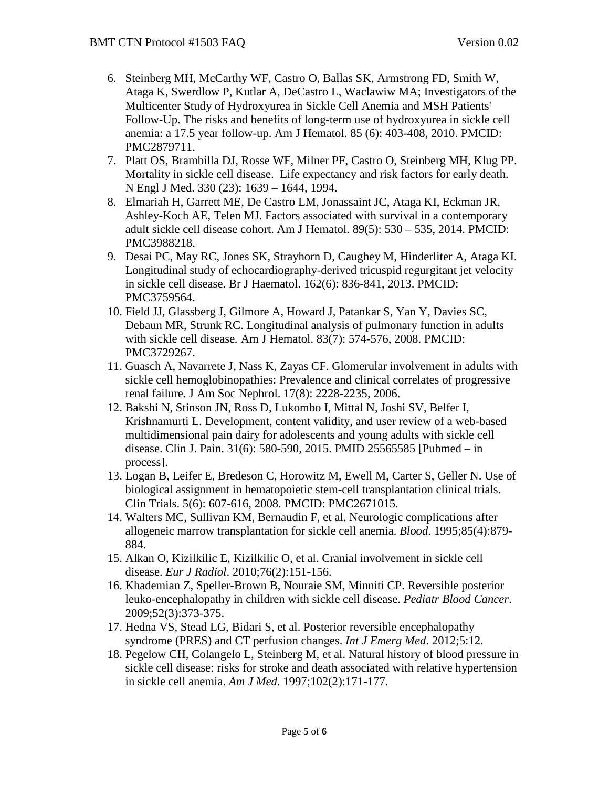- 6. Steinberg MH, McCarthy WF, Castro O, Ballas SK, Armstrong FD, Smith W, Ataga K, Swerdlow P, Kutlar A, DeCastro L, Waclawiw MA; Investigators of the Multicenter Study of Hydroxyurea in Sickle Cell Anemia and MSH Patients' Follow-Up. The risks and benefits of long-term use of hydroxyurea in sickle cell anemia: a 17.5 year follow-up. Am J Hematol. 85 (6): 403-408, 2010. PMCID: PMC2879711.
- 7. Platt OS, Brambilla DJ, Rosse WF, Milner PF, Castro O, Steinberg MH, Klug PP. Mortality in sickle cell disease. Life expectancy and risk factors for early death. N Engl J Med. 330 (23): 1639 – 1644, 1994.
- 8. Elmariah H, Garrett ME, De Castro LM, Jonassaint JC, Ataga KI, Eckman JR, Ashley-Koch AE, Telen MJ. Factors associated with survival in a contemporary adult sickle cell disease cohort. Am J Hematol. 89(5): 530 – 535, 2014. PMCID: PMC3988218.
- 9. Desai PC, May RC, Jones SK, Strayhorn D, Caughey M, Hinderliter A, Ataga KI. Longitudinal study of echocardiography-derived tricuspid regurgitant jet velocity in sickle cell disease. Br J Haematol. 162(6): 836-841, 2013. PMCID: PMC3759564.
- 10. Field JJ, Glassberg J, Gilmore A, Howard J, Patankar S, Yan Y, Davies SC, Debaun MR, Strunk RC. Longitudinal analysis of pulmonary function in adults with sickle cell disease*.* Am J Hematol. 83(7): 574-576, 2008. PMCID: PMC3729267.
- 11. Guasch A, Navarrete J, Nass K, Zayas CF. Glomerular involvement in adults with sickle cell hemoglobinopathies: Prevalence and clinical correlates of progressive renal failure*.* J Am Soc Nephrol. 17(8): 2228-2235, 2006.
- 12. Bakshi N, Stinson JN, Ross D, Lukombo I, Mittal N, Joshi SV, Belfer I, Krishnamurti L. Development, content validity, and user review of a web-based multidimensional pain dairy for adolescents and young adults with sickle cell disease. Clin J. Pain. 31(6): 580-590, 2015. PMID 25565585 [Pubmed – in process].
- 13. Logan B, Leifer E, Bredeson C, Horowitz M, Ewell M, Carter S, Geller N. Use of biological assignment in hematopoietic stem-cell transplantation clinical trials. Clin Trials. 5(6): 607-616, 2008. PMCID: PMC2671015.
- 14. Walters MC, Sullivan KM, Bernaudin F, et al. Neurologic complications after allogeneic marrow transplantation for sickle cell anemia. *Blood*. 1995;85(4):879- 884.
- 15. Alkan O, Kizilkilic E, Kizilkilic O, et al. Cranial involvement in sickle cell disease. *Eur J Radiol*. 2010;76(2):151-156.
- 16. Khademian Z, Speller-Brown B, Nouraie SM, Minniti CP. Reversible posterior leuko-encephalopathy in children with sickle cell disease. *Pediatr Blood Cancer*. 2009;52(3):373-375.
- 17. Hedna VS, Stead LG, Bidari S, et al. Posterior reversible encephalopathy syndrome (PRES) and CT perfusion changes. *Int J Emerg Med*. 2012;5:12.
- 18. Pegelow CH, Colangelo L, Steinberg M, et al. Natural history of blood pressure in sickle cell disease: risks for stroke and death associated with relative hypertension in sickle cell anemia. *Am J Med*. 1997;102(2):171-177.